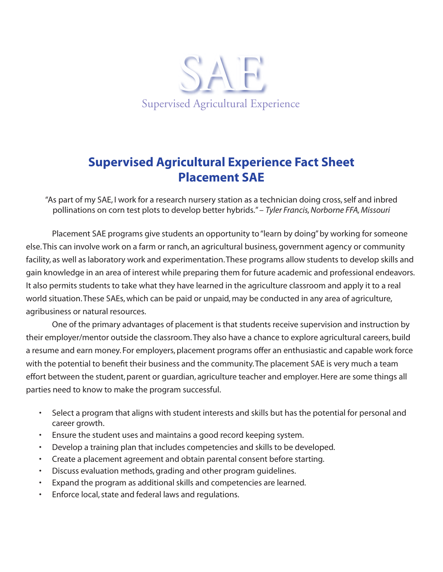

## **Supervised Agricultural Experience Fact Sheet Placement SAE**

"As part of my SAE, I work for a research nursery station as a technician doing cross, self and inbred pollinations on corn test plots to develop better hybrids." – *Tyler Francis, Norborne FFA, Missouri*

Placement SAE programs give students an opportunity to "learn by doing" by working for someone else. This can involve work on a farm or ranch, an agricultural business, government agency or community facility, as well as laboratory work and experimentation. These programs allow students to develop skills and gain knowledge in an area of interest while preparing them for future academic and professional endeavors. It also permits students to take what they have learned in the agriculture classroom and apply it to a real world situation. These SAEs, which can be paid or unpaid, may be conducted in any area of agriculture, agribusiness or natural resources.

One of the primary advantages of placement is that students receive supervision and instruction by their employer/mentor outside the classroom. They also have a chance to explore agricultural careers, build a resume and earn money. For employers, placement programs offer an enthusiastic and capable work force with the potential to benefit their business and the community. The placement SAE is very much a team effort between the student, parent or guardian, agriculture teacher and employer. Here are some things all parties need to know to make the program successful.

- Select a program that aligns with student interests and skills but has the potential for personal and career growth.
- Ensure the student uses and maintains a good record keeping system.
- Develop a training plan that includes competencies and skills to be developed.
- Create a placement agreement and obtain parental consent before starting.
- Discuss evaluation methods, grading and other program guidelines.
- Expand the program as additional skills and competencies are learned.
- Enforce local, state and federal laws and regulations.